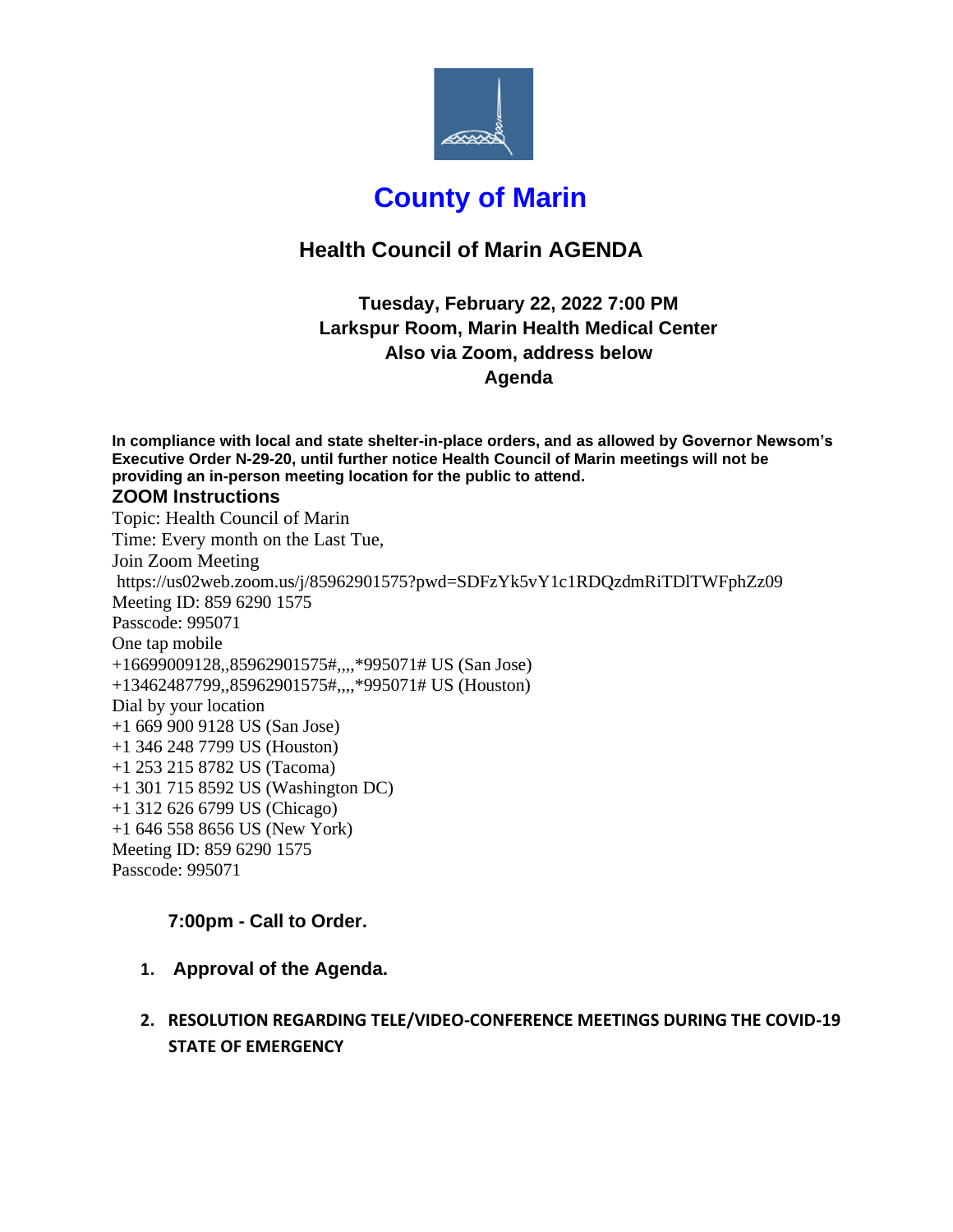

# **County of Marin**

## **Health Council of Marin AGENDA**

### **Tuesday, February 22, 2022 7:00 PM Larkspur Room, Marin Health Medical Center Also via Zoom, address below Agenda**

**In compliance with local and state shelter-in-place orders, and as allowed by Governor Newsom's Executive Order N-29-20, until further notice Health Council of Marin meetings will not be providing an in-person meeting location for the public to attend. ZOOM Instructions** Topic: Health Council of Marin Time: Every month on the Last Tue, Join Zoom Meeting https://us02web.zoom.us/j/85962901575?pwd=SDFzYk5vY1c1RDQzdmRiTDlTWFphZz09 Meeting ID: 859 6290 1575 Passcode: 995071 One tap mobile +16699009128,,85962901575#,,,,\*995071# US (San Jose) +13462487799,,85962901575#,,,,\*995071# US (Houston) Dial by your location +1 669 900 9128 US (San Jose) +1 346 248 7799 US (Houston) +1 253 215 8782 US (Tacoma) +1 301 715 8592 US (Washington DC) +1 312 626 6799 US (Chicago) +1 646 558 8656 US (New York) Meeting ID: 859 6290 1575 Passcode: 995071

#### **7:00pm - Call to Order.**

**1. Approval of the Agenda.** 

### **2. RESOLUTION REGARDING TELE/VIDEO-CONFERENCE MEETINGS DURING THE COVID-19 STATE OF EMERGENCY**